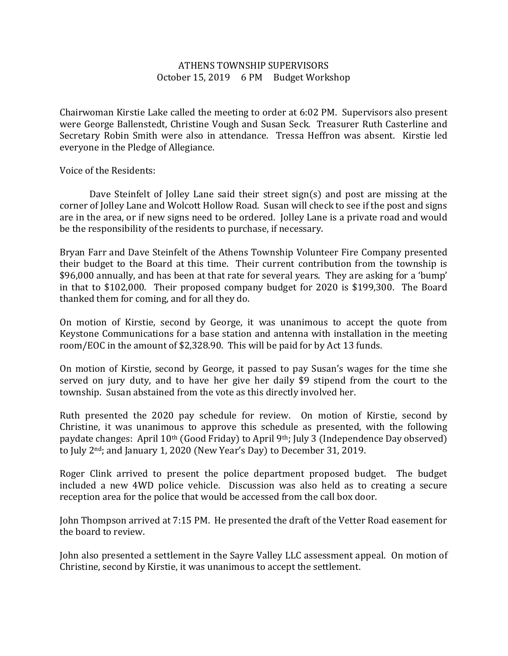## ATHENS TOWNSHIP SUPERVISORS October 15, 2019 6 PM Budget Workshop

Chairwoman Kirstie Lake called the meeting to order at 6:02 PM. Supervisors also present were George Ballenstedt, Christine Vough and Susan Seck. Treasurer Ruth Casterline and Secretary Robin Smith were also in attendance. Tressa Heffron was absent. Kirstie led everyone in the Pledge of Allegiance.

Voice of the Residents:

 Dave Steinfelt of Jolley Lane said their street sign(s) and post are missing at the corner of Jolley Lane and Wolcott Hollow Road. Susan will check to see if the post and signs are in the area, or if new signs need to be ordered. Jolley Lane is a private road and would be the responsibility of the residents to purchase, if necessary.

Bryan Farr and Dave Steinfelt of the Athens Township Volunteer Fire Company presented their budget to the Board at this time. Their current contribution from the township is \$96,000 annually, and has been at that rate for several years. They are asking for a 'bump' in that to \$102,000. Their proposed company budget for 2020 is \$199,300. The Board thanked them for coming, and for all they do.

On motion of Kirstie, second by George, it was unanimous to accept the quote from Keystone Communications for a base station and antenna with installation in the meeting room/EOC in the amount of \$2,328.90. This will be paid for by Act 13 funds.

On motion of Kirstie, second by George, it passed to pay Susan's wages for the time she served on jury duty, and to have her give her daily \$9 stipend from the court to the township. Susan abstained from the vote as this directly involved her.

Ruth presented the 2020 pay schedule for review. On motion of Kirstie, second by Christine, it was unanimous to approve this schedule as presented, with the following paydate changes: April 10th (Good Friday) to April 9th; July 3 (Independence Day observed) to July 2nd; and January 1, 2020 (New Year's Day) to December 31, 2019.

Roger Clink arrived to present the police department proposed budget. The budget included a new 4WD police vehicle. Discussion was also held as to creating a secure reception area for the police that would be accessed from the call box door.

John Thompson arrived at 7:15 PM. He presented the draft of the Vetter Road easement for the board to review.

John also presented a settlement in the Sayre Valley LLC assessment appeal. On motion of Christine, second by Kirstie, it was unanimous to accept the settlement.